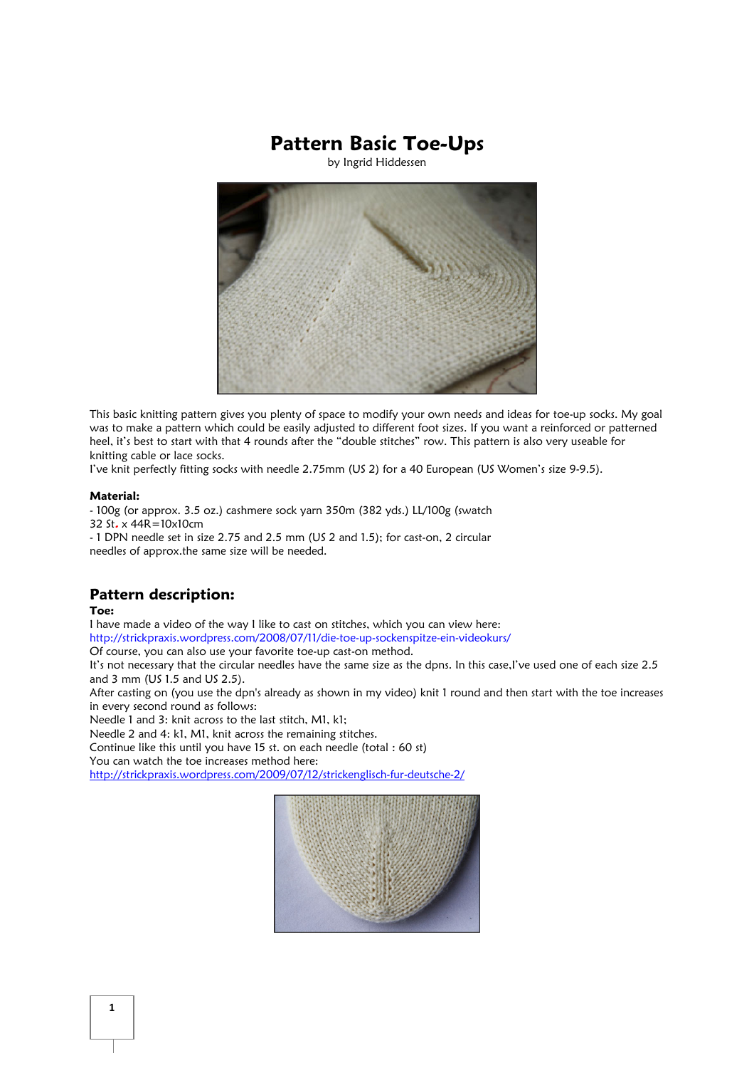# Pattern Basic Toe-Ups

by Ingrid Hiddessen



This basic knitting pattern gives you plenty of space to modify your own needs and ideas for toe-up socks. My goal was to make a pattern which could be easily adjusted to different foot sizes. If you want a reinforced or patterned heel, it's best to start with that 4 rounds after the "double stitches" row. This pattern is also very useable for knitting cable or lace socks.

I've knit perfectly fitting socks with needle 2.75mm (US 2) for a 40 European (US Women's size 9-9.5).

## Material:

- 100g (or approx. 3.5 oz.) cashmere sock yarn 350m (382 yds.) LL/100g (swatch 32 St. x 44R=10x10cm - 1 DPN needle set in size 2.75 and 2.5 mm (US 2 and 1.5); for cast-on, 2 circular needles of approx.the same size will be needed.

## Pattern description:

### Toe:

I have made a video of the way I like to cast on stitches, which you can view here:

http://strickpraxis.wordpress.com/2008/07/11/die-toe-up-sockenspitze-ein-videokurs/

Of course, you can also use your favorite toe-up cast-on method.

It's not necessary that the circular needles have the same size as the dpns. In this case,I've used one of each size 2.5 and 3 mm (US 1.5 and US 2.5).

After casting on (you use the dpn's already as shown in my video) knit 1 round and then start with the toe increases in every second round as follows:

Needle 1 and 3: knit across to the last stitch, M1, k1;

Needle 2 and 4: k1, M1, knit across the remaining stitches.

Continue like this until you have 15 st. on each needle (total : 60 st)

You can watch the toe increases method here:

http://strickpraxis.wordpress.com/2009/07/12/strickenglisch-fur-deutsche-2/

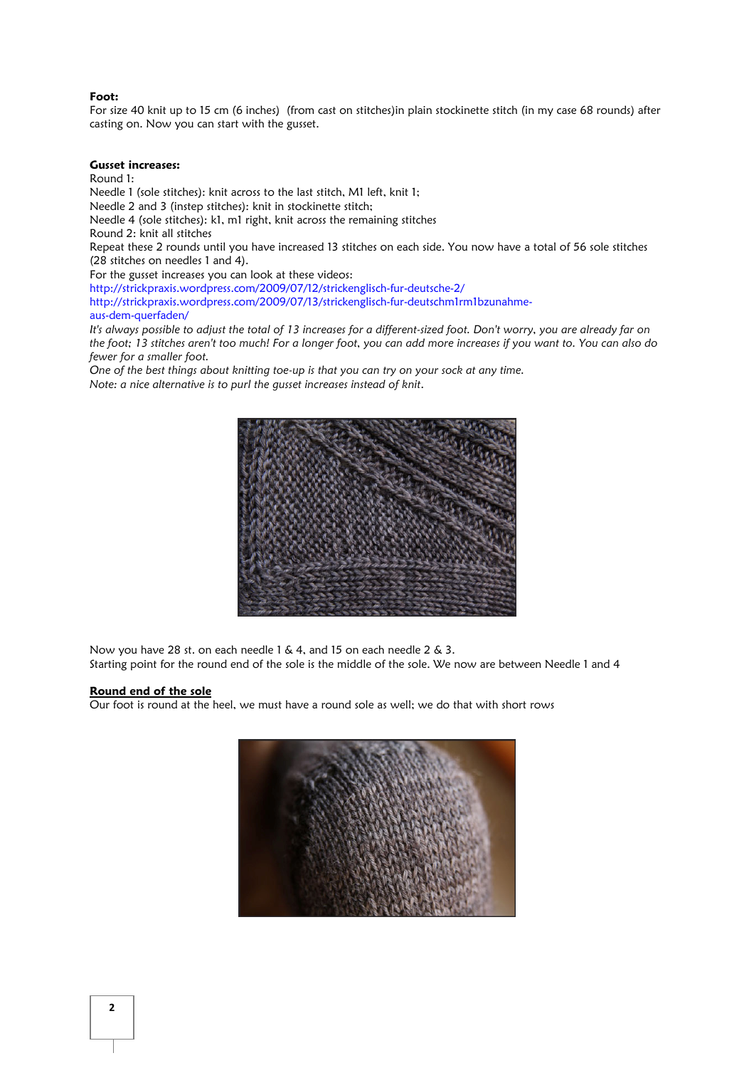#### Foot:

For size 40 knit up to 15 cm (6 inches) (from cast on stitches)in plain stockinette stitch (in my case 68 rounds) after casting on. Now you can start with the gusset.

#### Gusset increases:

Round 1:

Needle 1 (sole stitches): knit across to the last stitch, M1 left, knit 1; Needle 2 and 3 (instep stitches): knit in stockinette stitch; Needle 4 (sole stitches): k1, m1 right, knit across the remaining stitches Round 2: knit all stitches Repeat these 2 rounds until you have increased 13 stitches on each side. You now have a total of 56 sole stitches (28 stitches on needles 1 and 4). For the gusset increases you can look at these videos: http://strickpraxis.wordpress.com/2009/07/12/strickenglisch-fur-deutsche-2/ http://strickpraxis.wordpress.com/2009/07/13/strickenglisch-fur-deutschm1rm1bzunahmeaus-dem-querfaden/ It's always possible to adjust the total of 13 increases for a different-sized foot. Don't worry, you are already far on

the foot; 13 stitches aren't too much! For a longer foot, you can add more increases if you want to. You can also do fewer for a smaller foot.

One of the best things about knitting toe-up is that you can try on your sock at any time. Note: a nice alternative is to purl the gusset increases instead of knit.



Now you have 28 st. on each needle 1 & 4, and 15 on each needle 2 & 3. Starting point for the round end of the sole is the middle of the sole. We now are between Needle 1 and 4

### Round end of the sole

Our foot is round at the heel, we must have a round sole as well; we do that with short rows

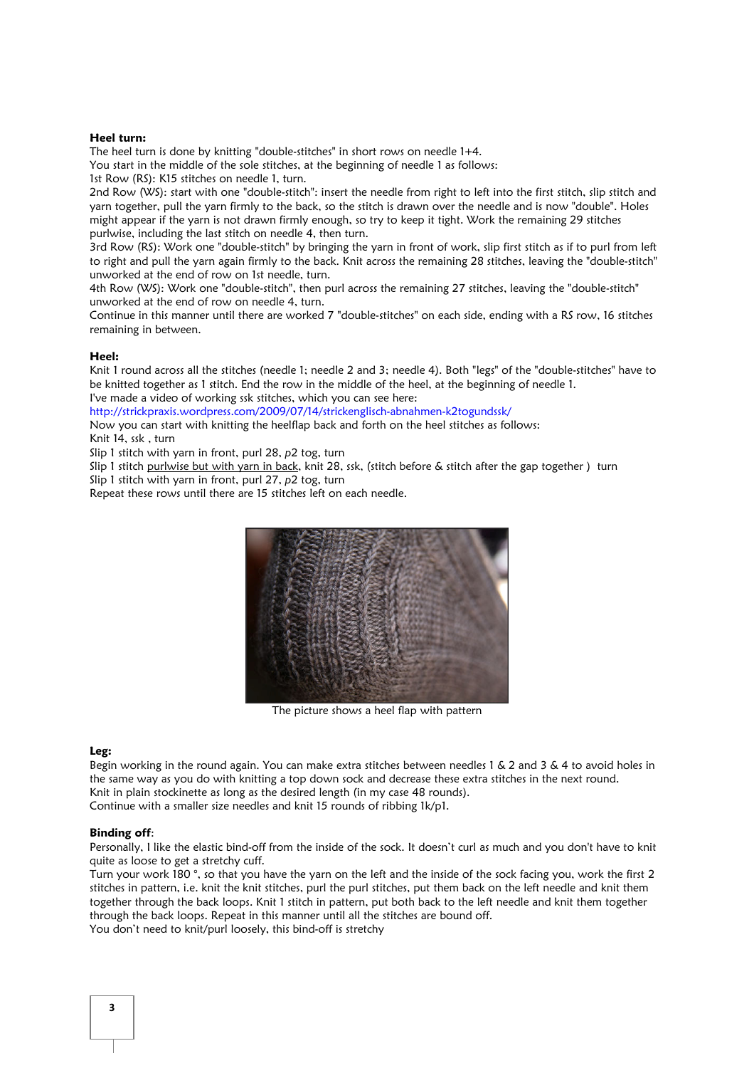## Heel turn:

The heel turn is done by knitting "double-stitches" in short rows on needle 1+4.

You start in the middle of the sole stitches, at the beginning of needle 1 as follows:

1st Row (RS): K15 stitches on needle 1, turn.

2nd Row (WS): start with one "double-stitch": insert the needle from right to left into the first stitch, slip stitch and yarn together, pull the yarn firmly to the back, so the stitch is drawn over the needle and is now "double". Holes might appear if the yarn is not drawn firmly enough, so try to keep it tight. Work the remaining 29 stitches purlwise, including the last stitch on needle 4, then turn.

3rd Row (RS): Work one "double-stitch" by bringing the yarn in front of work, slip first stitch as if to purl from left to right and pull the yarn again firmly to the back. Knit across the remaining 28 stitches, leaving the "double-stitch" unworked at the end of row on 1st needle, turn.

4th Row (WS): Work one "double-stitch", then purl across the remaining 27 stitches, leaving the "double-stitch" unworked at the end of row on needle 4, turn.

Continue in this manner until there are worked 7 "double-stitches" on each side, ending with a RS row, 16 stitches remaining in between.

#### Heel:

Knit 1 round across all the stitches (needle 1; needle 2 and 3; needle 4). Both "legs" of the "double-stitches" have to be knitted together as 1 stitch. End the row in the middle of the heel, at the beginning of needle 1. I've made a video of working ssk stitches, which you can see here:

http://strickpraxis.wordpress.com/2009/07/14/strickenglisch-abnahmen-k2togundssk/

Now you can start with knitting the heelflap back and forth on the heel stitches as follows: Knit 14, ssk , turn

Slip 1 stitch with yarn in front, purl 28, p2 tog, turn

Slip 1 stitch purlwise but with yarn in back, knit 28, ssk, (stitch before & stitch after the gap together ) turn

Slip 1 stitch with yarn in front, purl 27, p2 tog, turn

Repeat these rows until there are 15 stitches left on each needle.



The picture shows a heel flap with pattern

#### Leg:

Begin working in the round again. You can make extra stitches between needles 1 & 2 and 3 & 4 to avoid holes in the same way as you do with knitting a top down sock and decrease these extra stitches in the next round. Knit in plain stockinette as long as the desired length (in my case 48 rounds). Continue with a smaller size needles and knit 15 rounds of ribbing 1k/p1.

#### Binding off:

Personally, I like the elastic bind-off from the inside of the sock. It doesn't curl as much and you don't have to knit quite as loose to get a stretchy cuff.

Turn your work 180 °, so that you have the yarn on the left and the inside of the sock facing you, work the first 2 stitches in pattern, i.e. knit the knit stitches, purl the purl stitches, put them back on the left needle and knit them together through the back loops. Knit 1 stitch in pattern, put both back to the left needle and knit them together through the back loops. Repeat in this manner until all the stitches are bound off. You don't need to knit/purl loosely, this bind-off is stretchy

3